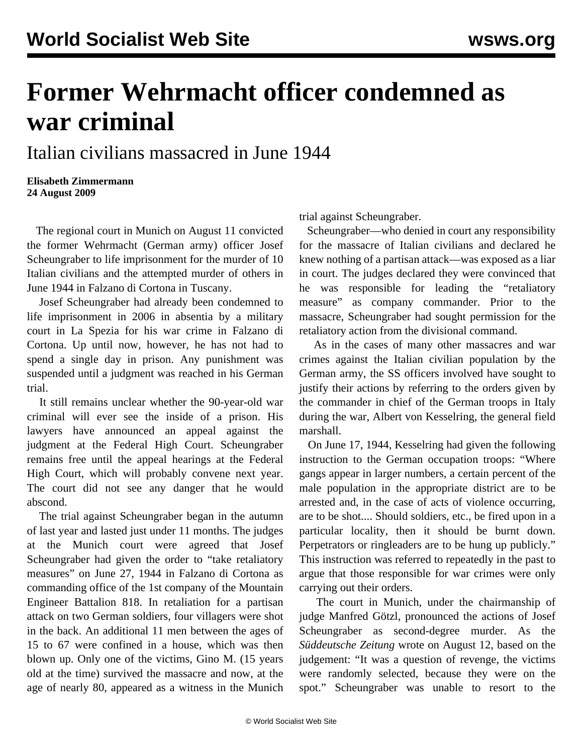## **Former Wehrmacht officer condemned as war criminal**

## Italian civilians massacred in June 1944

**Elisabeth Zimmermann 24 August 2009**

 The regional court in Munich on August 11 convicted the former Wehrmacht (German army) officer Josef Scheungraber to life imprisonment for the murder of 10 Italian civilians and the attempted murder of others in June 1944 in Falzano di Cortona in Tuscany.

 Josef Scheungraber had already been condemned to life imprisonment in 2006 in absentia by a military court in La Spezia for his war crime in Falzano di Cortona. Up until now, however, he has not had to spend a single day in prison. Any punishment was suspended until a judgment was reached in his German trial.

 It still remains unclear whether the 90-year-old war criminal will ever see the inside of a prison. His lawyers have announced an appeal against the judgment at the Federal High Court. Scheungraber remains free until the appeal hearings at the Federal High Court, which will probably convene next year. The court did not see any danger that he would abscond.

 The trial against Scheungraber began in the autumn of last year and lasted just under 11 months. The judges at the Munich court were agreed that Josef Scheungraber had given the order to "take retaliatory measures" on June 27, 1944 in Falzano di Cortona as commanding office of the 1st company of the Mountain Engineer Battalion 818. In retaliation for a partisan attack on two German soldiers, four villagers were shot in the back. An additional 11 men between the ages of 15 to 67 were confined in a house, which was then blown up. Only one of the victims, Gino M. (15 years old at the time) survived the massacre and now, at the age of nearly 80, appeared as a witness in the Munich

trial against Scheungraber.

 Scheungraber—who denied in court any responsibility for the massacre of Italian civilians and declared he knew nothing of a partisan attack—was exposed as a liar in court. The judges declared they were convinced that he was responsible for leading the "retaliatory measure" as company commander. Prior to the massacre, Scheungraber had sought permission for the retaliatory action from the divisional command.

 As in the cases of many other massacres and war crimes against the Italian civilian population by the German army, the SS officers involved have sought to justify their actions by referring to the orders given by the commander in chief of the German troops in Italy during the war, Albert von Kesselring, the general field marshall.

 On June 17, 1944, Kesselring had given the following instruction to the German occupation troops: "Where gangs appear in larger numbers, a certain percent of the male population in the appropriate district are to be arrested and, in the case of acts of violence occurring, are to be shot.... Should soldiers, etc., be fired upon in a particular locality, then it should be burnt down. Perpetrators or ringleaders are to be hung up publicly." This instruction was referred to repeatedly in the past to argue that those responsible for war crimes were only carrying out their orders.

 The court in Munich, under the chairmanship of judge Manfred Götzl, pronounced the actions of Josef Scheungraber as second-degree murder. As the *Süddeutsche Zeitung* wrote on August 12, based on the judgement: "It was a question of revenge, the victims were randomly selected, because they were on the spot." Scheungraber was unable to resort to the